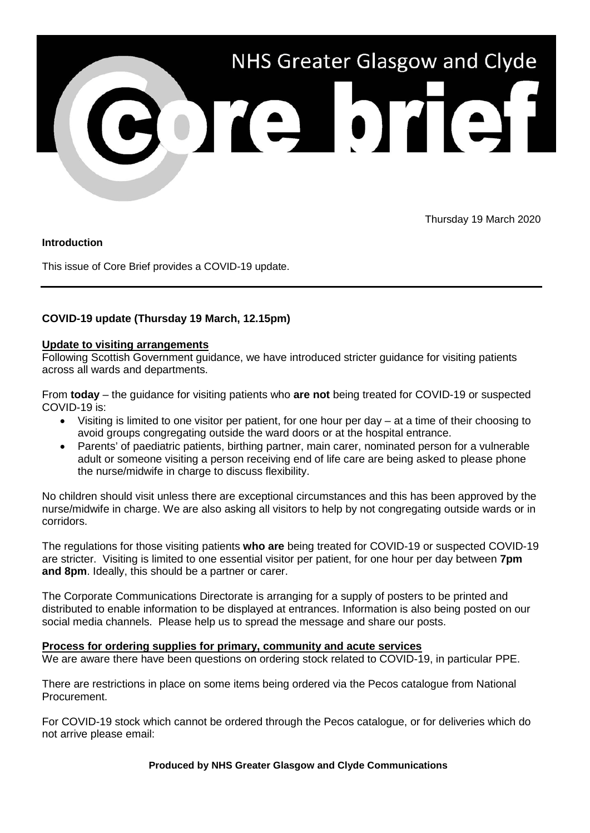

Thursday 19 March 2020

#### **Introduction**

This issue of Core Brief provides a COVID-19 update.

# **COVID-19 update (Thursday 19 March, 12.15pm)**

## **Update to visiting arrangements**

Following Scottish Government guidance, we have introduced stricter guidance for visiting patients across all wards and departments.

From **today** – the guidance for visiting patients who **are not** being treated for COVID-19 or suspected COVID-19 is:

- Visiting is limited to one visitor per patient, for one hour per day at a time of their choosing to avoid groups congregating outside the ward doors or at the hospital entrance.
- Parents' of paediatric patients, birthing partner, main carer, nominated person for a vulnerable adult or someone visiting a person receiving end of life care are being asked to please phone the nurse/midwife in charge to discuss flexibility.

No children should visit unless there are exceptional circumstances and this has been approved by the nurse/midwife in charge. We are also asking all visitors to help by not congregating outside wards or in corridors.

The regulations for those visiting patients **who are** being treated for COVID-19 or suspected COVID-19 are stricter. Visiting is limited to one essential visitor per patient, for one hour per day between **7pm and 8pm**. Ideally, this should be a partner or carer.

The Corporate Communications Directorate is arranging for a supply of posters to be printed and distributed to enable information to be displayed at entrances. Information is also being posted on our social media channels. Please help us to spread the message and share our posts.

## **Process for ordering supplies for primary, community and acute services**

We are aware there have been questions on ordering stock related to COVID-19, in particular PPE.

There are restrictions in place on some items being ordered via the Pecos catalogue from National Procurement.

For COVID-19 stock which cannot be ordered through the Pecos catalogue, or for deliveries which do not arrive please email:

**Produced by NHS Greater Glasgow and Clyde Communications**